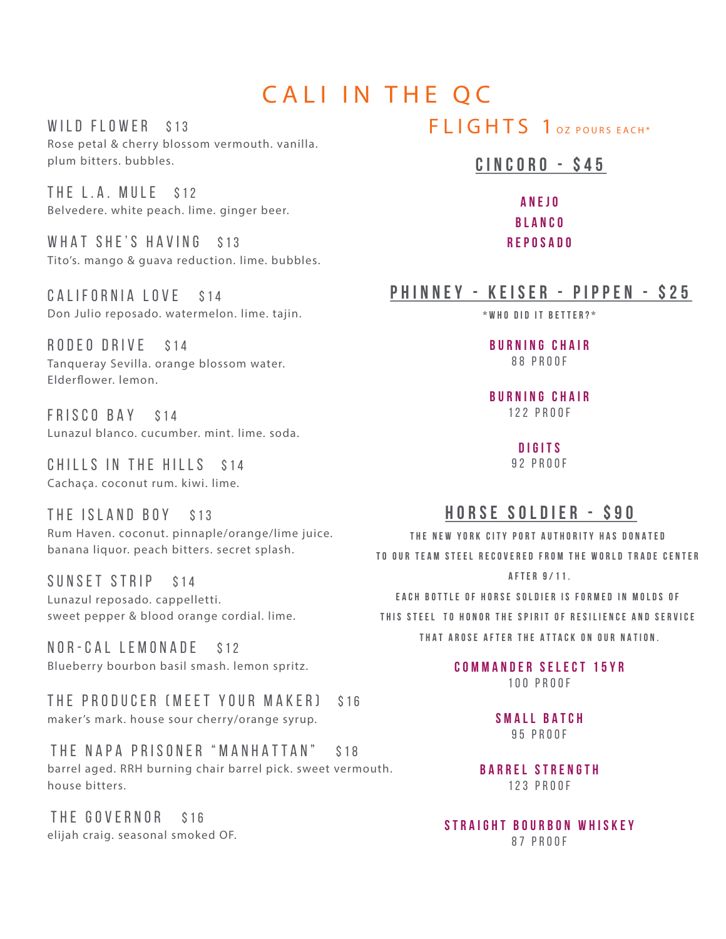# CALI IN THE QC

WILD FLOWER \$13 Rose petal & cherry blossom vermouth. vanilla. plum bitters. bubbles.

THE L.A. MULE \$12 Belvedere. white peach. lime. ginger beer.

WHAT SHE'S HAVING \$13 Tito's. mango & guava reduction. lime. bubbles.

CALIFORNIA LOVE \$14 Don Julio reposado. watermelon. lime. tajin.

RODEO DRIVE \$14 Tanqueray Sevilla. orange blossom water. Elderfower. lemon.

FRISCO BAY \$14 Lunazul blanco. cucumber. mint. lime. soda.

CHILLS IN THE HILLS \$14 Cachaça. coconut rum. kiwi. lime.

THE ISLAND BOY \$13 Rum Haven. coconut. pinnaple/orange/lime juice. banana liquor. peach bitters. secret splash.

SUNSET STRIP \$14 Lunazul reposado. cappelletti. sweet pepper & blood orange cordial. lime.

NOR-CAL LEMONADE \$12 Blueberry bourbon basil smash. lemon spritz.

THE PRODUCER (MEET YOUR MAKER) \$16 maker's mark. house sour cherry/orange syrup.

THE NAPA PRISONER "MANHATTAN" \$18 barrel aged. RRH burning chair barrel pick. sweet vermouth. house bitters.

THE GOVERNOR \$16 elijah craig. seasonal smoked OF.

# FLIGHTS 1 OZ POURS EACH\*

### **CINCORO - \$45**

**ANEJO BLANCO REPOSADO**

## **PHINNEY - KEISER - PIPPEN - \$25**

**\*WHO DID IT BETTER?\***

**BURNING CHAIR** 88 PROOF

**BURNING CHAIR** 122 PROOF

> **DIGITS** 92 PROOF

## **HORSE SOLDIER - \$90**

**THE NEW YORK CITY PORT AUTHORITY HAS DONATED TO OUR TEAM STEEL RECOVERED FROM THE WORLD TRADE CENTER AFTER 9/11.**

**EACH BOTTLE OF HORSE SOLDIER IS FORMED IN MOLDS OF THIS STEEL TO HONOR THE SPIRIT OF RESILIENCE AND SERVICE THAT AROSE AFTER THE ATTACK ON OUR NATION.**

> **COMMANDER SELECT 15YR** 100 PROOF

> > **SMALL BATCH** 95 PROOF

**BARREL STRENGTH** 123 PROOF

**STRAIGHT BOURBON WHISKEY** 87 PROOF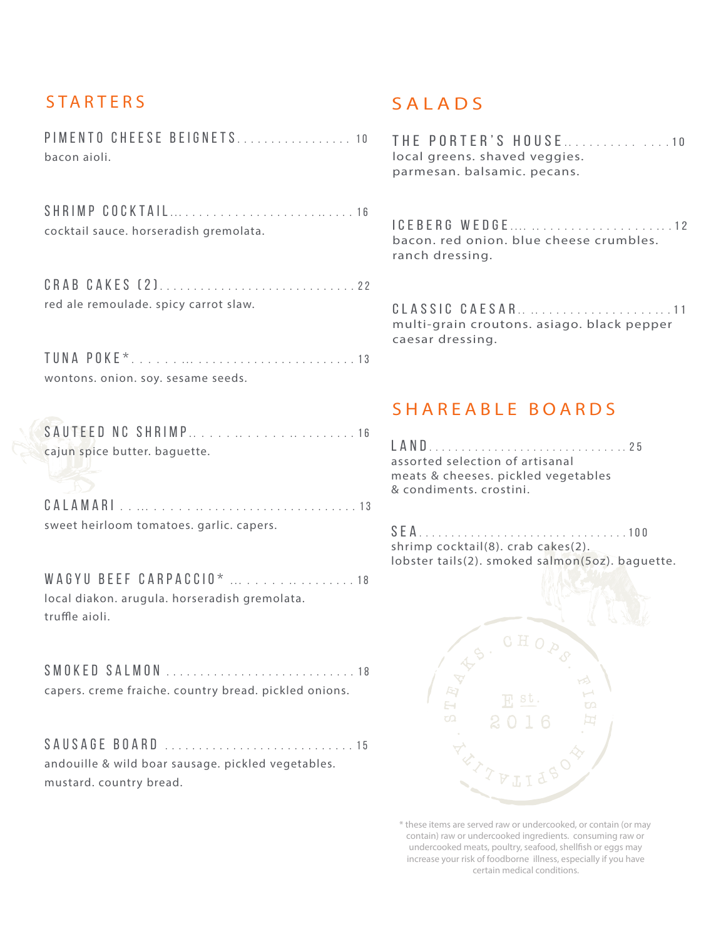# **STARTERS**

PIMENTO CHEESE BEIGNETS ................ . 1 0 bacon aioli.

SHRIMP COCKTAIL . . ... . . . . . . . .......... . . . . . . 1 6 cocktail sauce. horseradish gremolata.

CRAB CAKES (2) ............................ . 2 2 red ale remoulade. spicy carrot slaw.

TUNA POKE\* . . . . . . ... . . . . . ........ . . . ....... 1 3 wontons. onion. soy. sesame seeds.

SAUTEED NC SHRIMP .. . . . . .. . . . . . .. . . . ..... 1 6 cajun spice butter. baguette.

CALAMARI . . ... . . . . . .. . . . ................... 1 3 sweet heirloom tomatoes. garlic. capers.

WAGYU BEEF CARPACCIO\* ... . . . . . . . . . . . . . . 18 local diakon. arugula. horseradish gremolata. truffle aioli.

SMOKED SALMON ............................ 1 8 capers. creme fraiche. country bread. pickled onions.

SAUSAGE BOAR D ............................ 1 5 andouille & wild boar sausage. pickled vegetables. mustard. country bread.

# SALADS

THE PORTER'S HOUSE . ........ . . . . . . 1 0 local greens. shaved veggies. parmesan. balsamic. pecans.

ICEBERG WEDGE.... .............................12 bacon. red onion. blue cheese crumbles. ranch dressing.

CLASSIC CAESAR.............................11 multi-grain croutons. asiago. black pepper caesar dressing.

## SHAREABLE BOARDS

LAND ... . . . . . .................... . . . 2 5 assorted selection of artisanal meats & cheeses. pickled vegetables & condiments. crostini.

SEA ....... . . . . . . . . ....... . ........ . 100 shrimp cocktail(8). crab cakes(2). lobster tails(2). smoked salmon(5oz). baguette.



**\* these items are served raw or undercooked, or contain (or may contain) raw or undercooked ingredients. consuming raw or undercooked meats, poultry, seafood, shellfsh or eggs may increase your risk of foodborne illness, especially if you have certain medical conditions.**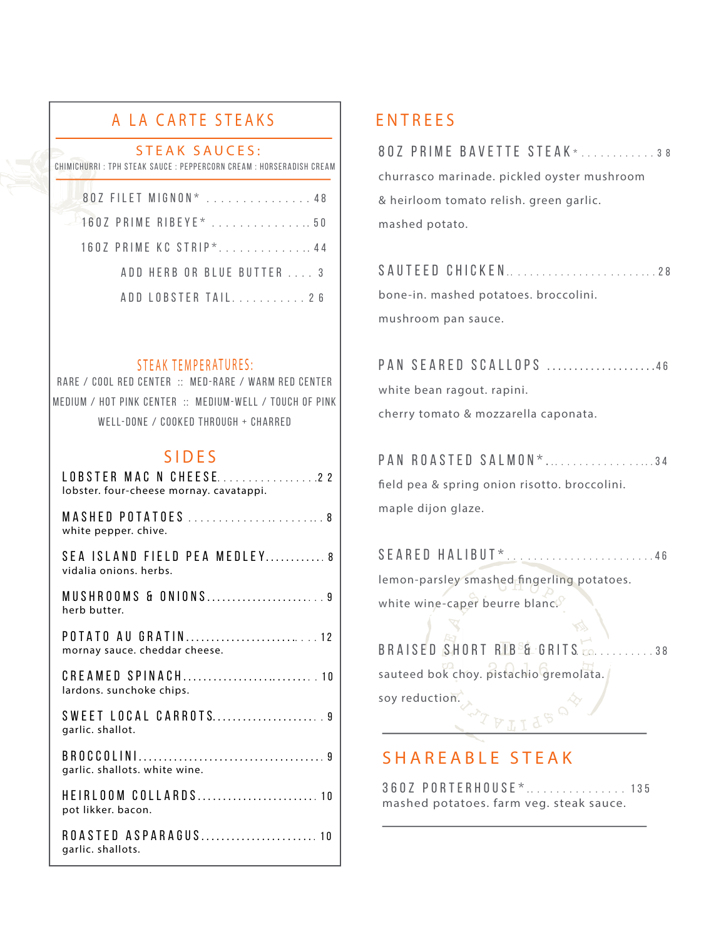# A LA CARTE STEAKS

#### STEAK SAUCES:

CHIMICHURRI : TPH STEAK SAUCE : PEPPERCORN CREAM : HORSERADISH CREAM

| 80Z FILET MIGNON* 48       |  |
|----------------------------|--|
| $160Z$ PRIME RIBEYE* 50    |  |
| 160Z PRIME KC STRIP*44     |  |
| ADD HERB OR BLUE BUTTER  3 |  |
| ADD LOBSTER TAIL 26        |  |

### STEAK TEMPERATURES:

RARE / COOL RED CENTER :: MED-RARE / WARM RED CENTER MEDIUM / HOT PINK CENTER :: MEDIUM-WELL / TOUCH OF PINK WELL-DONE / COOKED THROUGH + CHARRED

## SIDES

| LOBSTER MAC N CHEESE22<br>lobster. four-cheese mornay. cavatappi. |
|-------------------------------------------------------------------|
| MASHED POTATOES  8<br>white pepper. chive.                        |
| SEA ISLAND FIELD PEA MEDLEY 8<br>vidalia onions, herbs.           |
| MUSHROOMS & ONIONS9<br>herb butter.                               |
| POTATO AU GRATIN12<br>mornay sauce. cheddar cheese.               |
| lardons. sunchoke chips.                                          |
| SWEET LOCAL CARROTS9<br>garlic. shallot.                          |
| garlic. shallots. white wine.                                     |
| HEIRLOOM COLLARDS 10<br>pot likker. bacon.                        |
| ROASTED ASPARAGUS 10<br>garlic. shallots.                         |

## ENTREES

| 80Z PRIME BAVETTE STEAK*38                  |
|---------------------------------------------|
| churrasco marinade. pickled oyster mushroom |
| & heirloom tomato relish. green garlic.     |
| mashed potato.                              |
|                                             |

| SAUTEED CHICKEN28                     |  |
|---------------------------------------|--|
| bone-in. mashed potatoes. broccolini. |  |
| mushroom pan sauce.                   |  |

PAN SEARED SCALLOPS .....................46 white bean ragout. rapini.

cherry tomato & mozzarella caponata.

# PAN ROASTED SALMON\*....................34 feld pea & spring onion risotto. broccolini. maple dijon glaze.

SEARED HALIBUT\*..........................46 lemon-parsley smashed fngerling potatoes. white wine-caper beurre blanc.

BRAISED SHORT RIB & GRIT S............ . 3 8 sauteed bok choy. pistachio gremolata.

soy reduction.

## SHAREABLE STEAK

36OZ PORTERHOUSE\* . ............ . . . 135 mashed potatoes. farm veg. steak sauce.